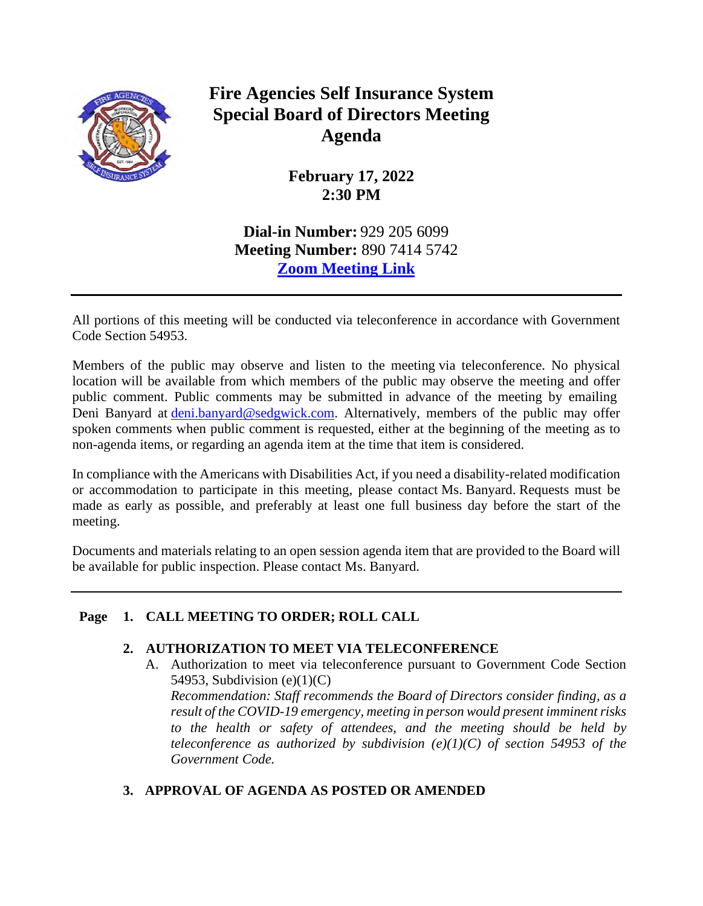

# **Fire Agencies Self Insurance System Special Board of Directors Meeting Agenda**

**February 17, 2022 2:30 PM** 

**Dial-in Number:** 929 205 6099 **Meeting Number:** 890 7414 5742 **[Zoom Meeting Link](https://us02web.zoom.us/j/89074145742?pwd=U2JMUngwNjB6QzVqdlhEOGUySjVPQT09)**

All portions of this meeting will be conducted via teleconference in accordance with Government Code Section 54953.

Members of the public may observe and listen to the meeting via teleconference. No physical location will be available from which members of the public may observe the meeting and offer public comment. Public comments may be submitted in advance of the meeting by emailing Deni Banyard at [deni.banyard@sedgwick.com.](mailto:deni.banyard@sedgwick.com) Alternatively, members of the public may offer spoken comments when public comment is requested, either at the beginning of the meeting as to non-agenda items, or regarding an agenda item at the time that item is considered.

In compliance with the Americans with Disabilities Act, if you need a disability-related modification or accommodation to participate in this meeting, please contact Ms. Banyard. Requests must be made as early as possible, and preferably at least one full business day before the start of the meeting.

Documents and materials relating to an open session agenda item that are provided to the Board will be available for public inspection. Please contact Ms. Banyard.

# **Page 1. CALL MEETING TO ORDER; ROLL CALL**

# **2. AUTHORIZATION TO MEET VIA TELECONFERENCE**

A. Authorization to meet via teleconference pursuant to Government Code Section 54953, Subdivision  $(e)(1)(C)$ 

*Recommendation: Staff recommends the Board of Directors consider finding, as a result of the COVID-19 emergency, meeting in person would present imminent risks to the health or safety of attendees, and the meeting should be held by teleconference as authorized by subdivision (e)(1)(C) of section 54953 of the Government Code.*

# **3. APPROVAL OF AGENDA AS POSTED OR AMENDED**